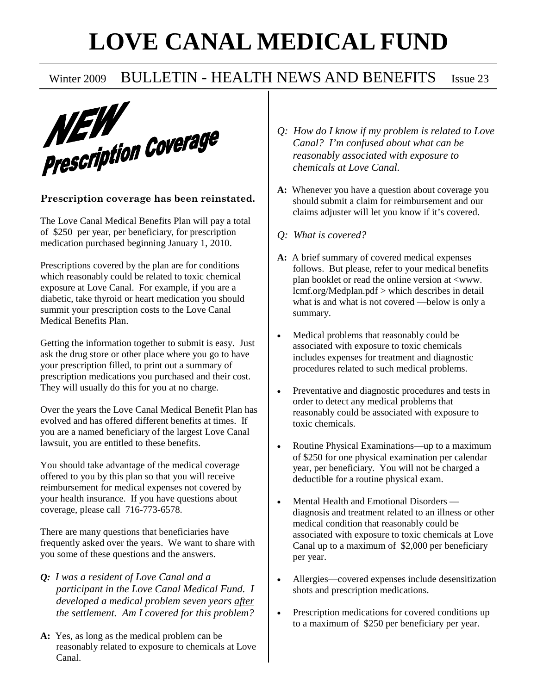# **LOVE CANAL MEDICAL FUND**



#### **Prescription coverage has been reinstated.**

The Love Canal Medical Benefits Plan will pay a total of \$250 per year, per beneficiary, for prescription medication purchased beginning January 1, 2010.

Prescriptions covered by the plan are for conditions which reasonably could be related to toxic chemical exposure at Love Canal. For example, if you are a diabetic, take thyroid or heart medication you should summit your prescription costs to the Love Canal Medical Benefits Plan.

Getting the information together to submit is easy. Just ask the drug store or other place where you go to have your prescription filled, to print out a summary of prescription medications you purchased and their cost. They will usually do this for you at no charge.

Over the years the Love Canal Medical Benefit Plan has evolved and has offered different benefits at times. If you are a named beneficiary of the largest Love Canal lawsuit, you are entitled to these benefits.

You should take advantage of the medical coverage offered to you by this plan so that you will receive reimbursement for medical expenses not covered by your health insurance. If you have questions about coverage, please call 716-773-6578.

There are many questions that beneficiaries have frequently asked over the years. We want to share with you some of these questions and the answers.

- *Q: I was a resident of Love Canal and a participant in the Love Canal Medical Fund. I developed a medical problem seven years after the settlement. Am I covered for this problem?*
- **A:** Yes, as long as the medical problem can be reasonably related to exposure to chemicals at Love Canal.
- *Q: How do I know if my problem is related to Love Canal? I'm confused about what can be reasonably associated with exposure to chemicals at Love Canal.*
- **A:** Whenever you have a question about coverage you should submit a claim for reimbursement and our claims adjuster will let you know if it's covered.
- *Q: What is covered?*
- **A:** A brief summary of covered medical expenses follows. But please, refer to your medical benefits plan booklet or read the online version at <www. lcmf.org/Medplan.pdf > which describes in detail what is and what is not covered —below is only a summary.
- Medical problems that reasonably could be associated with exposure to toxic chemicals includes expenses for treatment and diagnostic procedures related to such medical problems.
- Preventative and diagnostic procedures and tests in order to detect any medical problems that reasonably could be associated with exposure to toxic chemicals.
- Routine Physical Examinations—up to a maximum of \$250 for one physical examination per calendar year, per beneficiary. You will not be charged a deductible for a routine physical exam.
- Mental Health and Emotional Disorders diagnosis and treatment related to an illness or other medical condition that reasonably could be associated with exposure to toxic chemicals at Love Canal up to a maximum of \$2,000 per beneficiary per year.
- Allergies—covered expenses include desensitization shots and prescription medications.
- Prescription medications for covered conditions up to a maximum of \$250 per beneficiary per year.